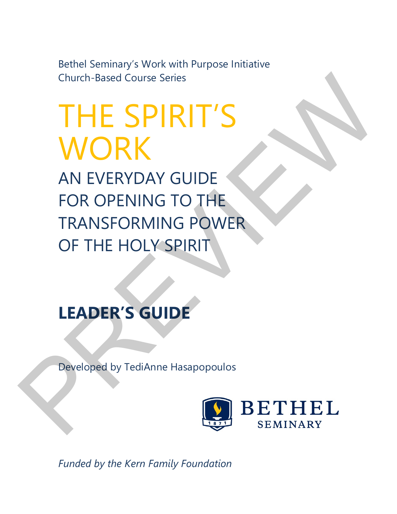Bethel Seminary's Work with Purpose Initiative Church-Based Course Series

THE SPIRIT'S WORK AN EVERYDAY GUIDE FOR OPENING TO THE TRANSFORMING POWER OF THE HOLY SPIRIT Church-Based Course Series<br>
THE SPIRIT'S<br>
WORK<br>
AN EVERYDAY GUIDE<br>
FOR OPENING TO THE<br>
TRANSFORMING POWER<br>
OF THE HOLY SPIRIT<br>
LEADER'S GUIDE<br>
Peveloped by TediAnne Hasapopoulos<br>
Peveloped by TediAnne Hasapopoulos<br>
BETHEL

# **LEADER'S GUIDE**

Developed by TediAnne Hasapopoulos



*Funded by the Kern Family Foundation*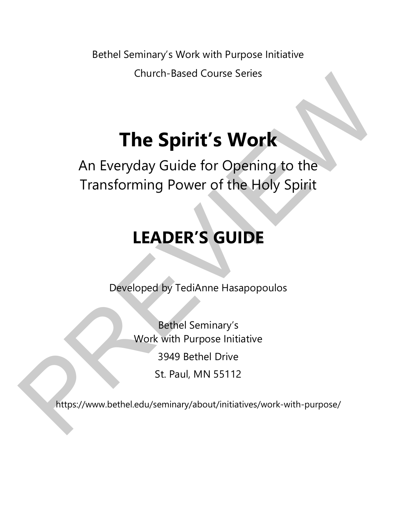Bethel Seminary's Work with Purpose Initiative Church-Based Course Series

# **The Spirit's Work**

An Everyday Guide for Opening to the Transforming Power of the Holy Spirit Church-Based Course Senes<br>
The Spirit's Work<br>
An Everyday Guide for Opening to the<br>
Transforming Power of the Holy Spirit<br>
LEADER'S GUIDE<br>
Developed by TediAnne Hasapopoulos<br>
Bethel Seminary's<br>
Work with Purpose Initiative

# **LEADER'S GUIDE**

Developed by TediAnne Hasapopoulos

Bethel Seminary's Work with Purpose Initiative 3949 Bethel Drive St. Paul, MN 55112

https://www.bethel.edu/seminary/about/initiatives/work-with-purpose/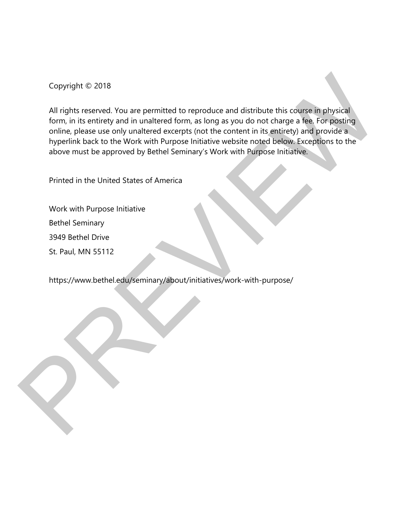Copyright © 2018

All rights reserved. You are permitted to reproduce and distribute this course in physical form, in its entirety and in unaltered form, as long as you do not charge a fee. For posting online, please use only unaltered excerpts (not the content in its entirety) and provide a hyperlink back to the Work with Purpose Initiative website noted below. Exceptions to the above must be approved by Bethel Seminary's Work with Purpose Initiative. Copyright (£ 2018)<br>
All rights reserved. You are permitted to reproduce and distribute this course in physical<br>
form, in its entirety and in unaltered form, as long as you do not charge a fee. For positing<br>
online, plaase

Printed in the United States of America

Work with Purpose Initiative Bethel Seminary 3949 Bethel Drive

St. Paul, MN 55112

https://www.bethel.edu/seminary/about/initiatives/work-with-purpose/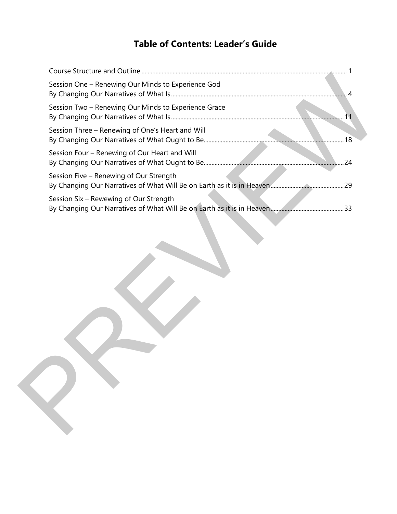# **Table of Contents: Leader's Guide**

| Session One - Renewing Our Minds to Experience God   | $\overline{A}$ |
|------------------------------------------------------|----------------|
| Session Two - Renewing Our Minds to Experience Grace | 11             |
| Session Three - Renewing of One's Heart and Will     |                |
| Session Four - Renewing of Our Heart and Will        |                |
| Session Five - Renewing of Our Strength              |                |
| Session Six - Rewewing of Our Strength               |                |
|                                                      |                |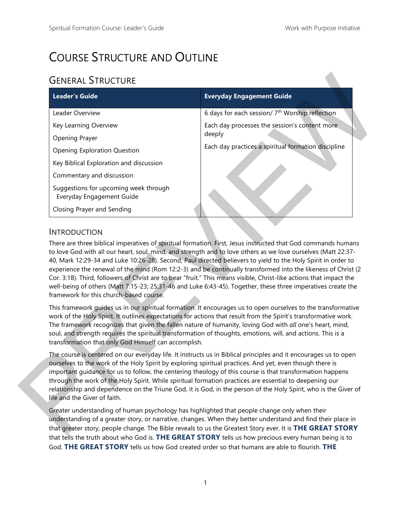# COURSE STRUCTURE AND OUTLINE

# GENERAL STRUCTURE

| <b>Leader's Guide</b>                                              | <b>Everyday Engagement Guide</b>                                                                                                                                                                                                                                                                                                                                                                                                                                                                                                                                        |
|--------------------------------------------------------------------|-------------------------------------------------------------------------------------------------------------------------------------------------------------------------------------------------------------------------------------------------------------------------------------------------------------------------------------------------------------------------------------------------------------------------------------------------------------------------------------------------------------------------------------------------------------------------|
| Leader Overview                                                    | 6 days for each session/7 <sup>th</sup> Worship reflection                                                                                                                                                                                                                                                                                                                                                                                                                                                                                                              |
| Key Learning Overview                                              | Each day processes the session's content more                                                                                                                                                                                                                                                                                                                                                                                                                                                                                                                           |
| Opening Prayer                                                     | deeply                                                                                                                                                                                                                                                                                                                                                                                                                                                                                                                                                                  |
| <b>Opening Exploration Question</b>                                | Each day practices a spiritual formation discipline                                                                                                                                                                                                                                                                                                                                                                                                                                                                                                                     |
| Key Biblical Exploration and discussion                            |                                                                                                                                                                                                                                                                                                                                                                                                                                                                                                                                                                         |
| Commentary and discussion                                          |                                                                                                                                                                                                                                                                                                                                                                                                                                                                                                                                                                         |
| Suggestions for upcoming week through<br>Everyday Engagement Guide |                                                                                                                                                                                                                                                                                                                                                                                                                                                                                                                                                                         |
| Closing Prayer and Sending                                         |                                                                                                                                                                                                                                                                                                                                                                                                                                                                                                                                                                         |
|                                                                    | There are three biblical imperatives of spiritual formation. First, Jesus instructed that God commands humans<br>to love God with all our heart, soul, mind, and strength and to love others as we love ourselves (Matt 22:37-<br>40, Mark 12:29-34 and Luke 10:26-28). Second, Paul directed believers to yield to the Holy Spirit in order to<br>experience the renewal of the mind (Rom 12:2-3) and be continually transformed into the likeness of Christ (2                                                                                                        |
| framework for this church-based course.                            | Cor. 3:18). Third, followers of Christ are to bear "fruit." This means visible, Christ-like actions that impact the<br>well-being of others (Matt 7:15-23; 25:31-46 and Luke 6:43-45). Together, these three imperatives create the                                                                                                                                                                                                                                                                                                                                     |
| transformation that only God Himself can accomplish.               | This framework guides us in our spiritual formation. It encourages us to open ourselves to the transformative<br>work of the Holy Spirit. It outlines expectations for actions that result from the Spirit's transformative work.<br>The framework recognizes that given the fallen nature of humanity, loving God with all one's heart, mind,<br>soul, and strength requires the spiritual transformation of thoughts, emotions, will, and actions. This is a                                                                                                          |
| life and the Giver of faith.                                       | The course is centered on our everyday life. It instructs us in Biblical principles and it encourages us to open<br>ourselves to the work of the Holy Spirit by exploring spiritual practices. And yet, even though there is<br>important guidance for us to follow, the centering theology of this course is that transformation happens<br>through the work of the Holy Spirit. While spiritual formation practices are essential to deepening our<br>relationship and dependence on the Triune God, it is God, in the person of the Holy Spirit, who is the Giver of |

### **INTRODUCTION**

Greater understanding of human psychology has highlighted that people change only when their understanding of a greater story, or narrative, changes. When they better understand and find their place in that greater story, people change. The Bible reveals to us the Greatest Story ever. It is **THE GREAT STORY** that tells the truth about who God is. **THE GREAT STORY** tells us how precious every human being is to God. **THE GREAT STORY** tells us how God created order so that humans are able to flourish. **THE**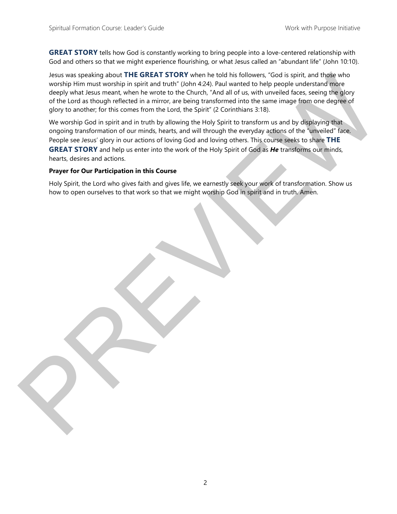**GREAT STORY** tells how God is constantly working to bring people into a love-centered relationship with God and others so that we might experience flourishing, or what Jesus called an "abundant life" (John 10:10).

Jesus was speaking about **THE GREAT STORY** when he told his followers, "God is spirit, and those who worship Him must worship in spirit and truth" (John 4:24). Paul wanted to help people understand more deeply what Jesus meant, when he wrote to the Church, "And all of us, with unveiled faces, seeing the glory of the Lord as though reflected in a mirror, are being transformed into the same image from one degree of glory to another; for this comes from the Lord, the Spirit" (2 Corinthians 3:18).

We worship God in spirit and in truth by allowing the Holy Spirit to transform us and by displaying that ongoing transformation of our minds, hearts, and will through the everyday actions of the "unveiled" face. People see Jesus' glory in our actions of loving God and loving others. This course seeks to share **THE GREAT STORY** and help us enter into the work of the Holy Spirit of God as *He* transforms our minds, hearts, desires and actions. Jeans was preshing about Thil CREAT STORY when the cold his biclowers. Toold is spirit and these who<br>wand in immunst worship in spirit and turn!" (climate 24). Paul wanted looke particle meets you have the core properties

#### **Prayer for Our Participation in this Course**

Holy Spirit, the Lord who gives faith and gives life, we earnestly seek your work of transformation. Show us how to open ourselves to that work so that we might worship God in spirit and in truth. Amen.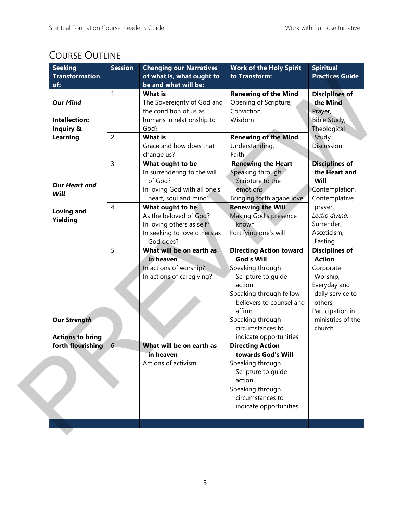## COURSE OUTLINE

| <b>Seeking</b><br><b>Transformation</b><br>of: | <b>Session</b> | <b>Changing our Narratives</b><br>of what is, what ought to<br>be and what will be: | <b>Work of the Holy Spirit</b><br>to Transform: | <b>Spiritual</b><br><b>Practices Guide</b> |
|------------------------------------------------|----------------|-------------------------------------------------------------------------------------|-------------------------------------------------|--------------------------------------------|
|                                                | 1              | <b>What is</b>                                                                      | <b>Renewing of the Mind</b>                     | <b>Disciplines of</b>                      |
| <b>Our Mind</b>                                |                | The Sovereignty of God and                                                          | Opening of Scripture,                           | the Mind                                   |
|                                                |                | the condition of us as                                                              | Conviction,                                     | Prayer,                                    |
| Intellection:                                  |                | humans in relationship to                                                           | Wisdom                                          | Bible Study,                               |
| Inquiry &                                      |                | God?                                                                                |                                                 | Theological                                |
| Learning                                       | $\overline{c}$ | <b>What is</b>                                                                      | <b>Renewing of the Mind</b>                     | Study,                                     |
|                                                |                | Grace and how does that                                                             | Understanding,                                  | Discussion                                 |
|                                                |                | change us?                                                                          | Faith                                           |                                            |
|                                                | 3              | What ought to be                                                                    | <b>Renewing the Heart</b>                       | <b>Disciplines of</b>                      |
|                                                |                | In surrendering to the will                                                         | Speaking through                                | the Heart and                              |
|                                                |                | of God?                                                                             | Scripture to the                                | Will                                       |
| <b>Our Heart and</b>                           |                | In loving God with all one's                                                        | emotions                                        | Contemplation,                             |
| Will                                           |                | heart, soul and mind?                                                               | Bringing forth agape love                       | Contemplative                              |
|                                                | 4              | What ought to be                                                                    | <b>Renewing the Will</b>                        | prayer,                                    |
| <b>Loving and</b>                              |                | As the beloved of God?                                                              | Making God's presence                           | Lectio divina,                             |
| Yielding                                       |                | In loving others as self?                                                           | known                                           | Surrender,                                 |
|                                                |                | In seeking to love others as                                                        | Fortifying one's will                           | Asceticism,                                |
|                                                |                | God does?                                                                           |                                                 | Fasting                                    |
|                                                | 5              | What will be on earth as                                                            | <b>Directing Action toward</b>                  | <b>Disciplines of</b>                      |
|                                                |                | in heaven                                                                           | <b>God's Will</b>                               | <b>Action</b>                              |
|                                                |                | In actions of worship?                                                              | Speaking through                                | Corporate                                  |
|                                                |                | In actions of caregiving?                                                           | Scripture to guide                              | Worship,                                   |
|                                                |                |                                                                                     | action                                          | Everyday and                               |
|                                                |                |                                                                                     | Speaking through fellow                         | daily service to                           |
|                                                |                |                                                                                     | believers to counsel and                        | others,                                    |
|                                                |                |                                                                                     | affirm                                          | Participation in                           |
| <b>Our Strength</b>                            |                |                                                                                     | Speaking through                                | ministries of the                          |
|                                                |                |                                                                                     | circumstances to                                | church                                     |
| <b>Actions to bring</b>                        |                |                                                                                     | indicate opportunities                          |                                            |
| forth flourishing                              | 6              | What will be on earth as                                                            | <b>Directing Action</b>                         |                                            |
|                                                |                | in heaven                                                                           | towards God's Will                              |                                            |
|                                                |                | Actions of activism                                                                 | Speaking through                                |                                            |
|                                                |                |                                                                                     | Scripture to guide                              |                                            |
|                                                |                |                                                                                     | action                                          |                                            |
|                                                |                |                                                                                     | Speaking through                                |                                            |
|                                                |                |                                                                                     | circumstances to                                |                                            |
|                                                |                |                                                                                     | indicate opportunities                          |                                            |
|                                                |                |                                                                                     |                                                 |                                            |
|                                                |                |                                                                                     |                                                 |                                            |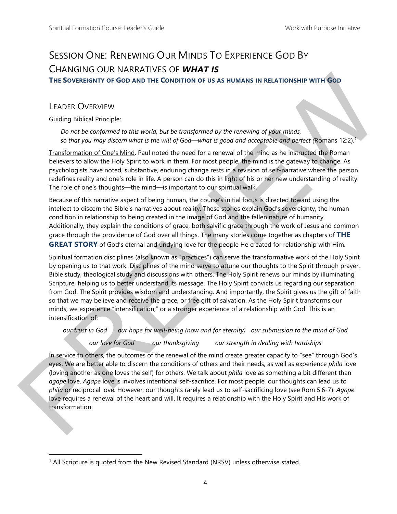# SESSION ONE: RENEWING OUR MINDS TO EXPERIENCE GOD BY CHANGING OUR NARRATIVES OF *WHAT IS*

**THE SOVEREIGNTY OF GOD AND THE CONDITION OF US AS HUMANS IN RELATIONSHIP WITH GOD**

## LEADER OVERVIEW

 $\overline{a}$ 

Guiding Biblical Principle:

*Do not be conformed to this world, but be transformed by the renewing of your minds, so that you may discern what is the will of God—what is good and acceptable and perfect (*Romans 12:2)*. 1*

Transformation of One's Mind. Paul noted the need for a renewal of the mind as he instructed the Roman believers to allow the Holy Spirit to work in them. For most people, the mind is the gateway to change. As psychologists have noted, substantive, enduring change rests in a revision of self-narrative where the person redefines reality and one's role in life. A person can do this in light of his or her new understanding of reality. The role of one's thoughts—the mind—is important to our spiritual walk.

Because of this narrative aspect of being human, the course's initial focus is directed toward using the intellect to discern the Bible's narratives about reality. These stories explain God's sovereignty, the human condition in relationship to being created in the image of God and the fallen nature of humanity. Additionally, they explain the conditions of grace, both salvific grace through the work of Jesus and common grace through the providence of God over all things. The many stories come together as chapters of **THE GREAT STORY** of God's eternal and undying love for the people He created for relationship with Him.

Spiritual formation disciplines (also known as "practices") can serve the transformative work of the Holy Spirit by opening us to that work. Disciplines of the mind serve to attune our thoughts to the Spirit through prayer, Bible study, theological study and discussions with others. The Holy Spirit renews our minds by illuminating Scripture, helping us to better understand its message. The Holy Spirit convicts us regarding our separation from God. The Spirit provides wisdom and understanding. And importantly, the Spirit gives us the gift of faith so that we may believe and receive the grace, or free gift of salvation. As the Holy Spirit transforms our minds, we experience "intensification," or a stronger experience of a relationship with God. This is an intensification of: The Sources over the two the transformation of the state interaction of the state interaction of the state of the state interaction of the state of the state interaction of the state of the state interaction of the state

*our trust in God our hope for well-being (now and for eternity) our submission to the mind of God* 

*our love for God our thanksgiving our strength in dealing with hardships* 

In service to others, the outcomes of the renewal of the mind create greater capacity to "see" through God's eyes. We are better able to discern the conditions of others and their needs, as well as experience *phila* love (loving another as one loves the self) for others. We talk about *phila* love as something a bit different than *agape* love. *Agape* love is involves intentional self-sacrifice. For most people, our thoughts can lead us to *phila* or reciprocal love. However, our thoughts rarely lead us to self-sacrificing love (see Rom 5:6-7). *Agape* love requires a renewal of the heart and will. It requires a relationship with the Holy Spirit and His work of transformation.

<sup>&</sup>lt;sup>1</sup> All Scripture is quoted from the New Revised Standard (NRSV) unless otherwise stated.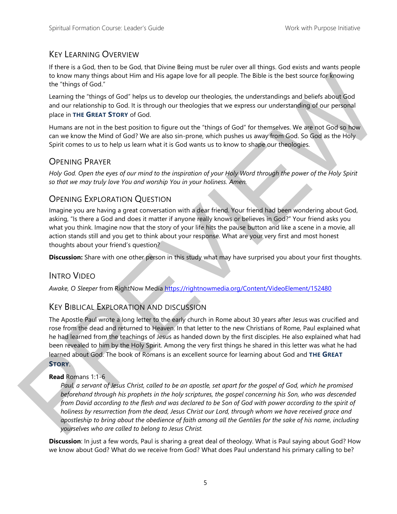### KEY LEARNING OVERVIEW

If there is a God, then to be God, that Divine Being must be ruler over all things. God exists and wants people to know many things about Him and His agape love for all people. The Bible is the best source for knowing the "things of God."

Learning the "things of God" helps us to develop our theologies, the understandings and beliefs about God and our relationship to God. It is through our theologies that we express our understanding of our personal place in **THE GREAT STORY** of God.

Humans are not in the best position to figure out the "things of God" for themselves. We are not God so how can we know the Mind of God? We are also sin-prone, which pushes us away from God. So God as the Holy Spirit comes to us to help us learn what it is God wants us to know to shape our theologies.

### OPENING PRAYER

*Holy God. Open the eyes of our mind to the inspiration of your Holy Word through the power of the Holy Spirit so that we may truly love You and worship You in your holiness. Amen.* 

## OPENING EXPLORATION QUESTION

Imagine you are having a great conversation with a dear friend. Your friend had been wondering about God, asking, "Is there a God and does it matter if anyone really knows or believes in God?" Your friend asks you what you think. Imagine now that the story of your life hits the pause button and like a scene in a movie, all action stands still and you get to think about your response. What are your very first and most honest thoughts about your friend's question?

**Discussion:** Share with one other person in this study what may have surprised you about your first thoughts.

### INTRO VIDEO

*Awake, O Sleeper* from RightNow Media https://rightnowmedia.org/Content/VideoElement/152480

### KEY BIBLICAL EXPLORATION AND DISCUSSION

The Apostle Paul wrote a long letter to the early church in Rome about 30 years after Jesus was crucified and rose from the dead and returned to Heaven. In that letter to the new Christians of Rome, Paul explained what he had learned from the teachings of Jesus as handed down by the first disciples. He also explained what had been revealed to him by the Holy Spirit. Among the very first things he shared in this letter was what he had learned about God. The book of Romans is an excellent source for learning about God and **THE GREAT STORY**. to know many things about Him and His spape love for all people. The Bible is the best source for feroving<br>the "things of God."<br>
teaming the "fining of God." help the basis to the develop our therefore the endominations an

#### **Read** Romans 1:1-6

*Paul, a servant of Jesus Christ, called to be an apostle, set apart for the gospel of God, which he promised beforehand through his prophets in the holy scriptures, the gospel concerning his Son, who was descended from David according to the flesh and was declared to be Son of God with power according to the spirit of holiness by resurrection from the dead, Jesus Christ our Lord, through whom we have received grace and apostleship to bring about the obedience of faith among all the Gentiles for the sake of his name, including yourselves who are called to belong to Jesus Christ.* 

**Discussion**: In just a few words, Paul is sharing a great deal of theology. What is Paul saying about God? How we know about God? What do we receive from God? What does Paul understand his primary calling to be?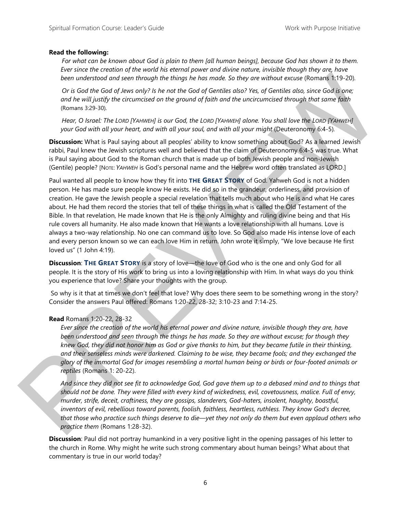#### **Read the following:**

*For what can be known about God is plain to them [all human beings], because God has shown it to them. Ever since the creation of the world his eternal power and divine nature, invisible though they are, have been understood and seen through the things he has made. So they are without excuse* (Romans 1:19-20)*.* 

*Or is God the God of Jews only? Is he not the God of Gentiles also? Yes, of Gentiles also, since God is one; and he will justify the circumcised on the ground of faith and the uncircumcised through that same faith*  (Romans 3:29-30)*.* 

*Hear, O Israel: The LORD [YAHWEH] is our God, the LORD [YAHWEH] alone. You shall love the LORD [YAHWEH] your God with all your heart, and with all your soul, and with all your might* (Deuteronomy 6:4-5)*.* 

**Discussion:** What is Paul saying about all peoples' ability to know something about God? As a learned Jewish rabbi, Paul knew the Jewish scriptures well and believed that the claim of Deuteronomy 6:4-5 was true. What is Paul saying about God to the Roman church that is made up of both Jewish people and non-Jewish (Gentile) people? [NOTE: *YAHWEH* is God's personal name and the Hebrew word often translated as LORD.]

Paul wanted all people to know how they fit into **THE GREAT STORY** of God. Yahweh God is not a hidden person. He has made sure people know He exists. He did so in the grandeur, orderliness, and provision of creation. He gave the Jewish people a special revelation that tells much about who He is and what He cares about. He had them record the stories that tell of these things in what is called the Old Testament of the Bible. In that revelation, He made known that He is the only Almighty and ruling divine being and that His rule covers all humanity. He also made known that He wants a love relationship with all humans. Love is always a two-way relationship. No one can command us to love. So God also made His intense love of each and every person known so we can each love Him in return. John wrote it simply, "We love because He first loved us" (1 John 4:19). been underwood and seen through the things be nos made. So they are natived recurse (Romans 1:5-20)<br>Or God God of Associative that are not the growth of Gomitista data (Viet of Gomitista data since God is one data of the

**Discussion**: **THE GREAT STORY** is a story of love—the love of God who is the one and only God for all people. It is the story of His work to bring us into a loving relationship with Him. In what ways do you think you experience that love? Share your thoughts with the group.

 So why is it that at times we don't feel that love? Why does there seem to be something wrong in the story? Consider the answers Paul offered: Romans 1:20-22, 28-32; 3:10-23 and 7:14-25.

#### **Read** Romans 1:20-22, 28-32

*Ever since the creation of the world his eternal power and divine nature, invisible though they are, have been understood and seen through the things he has made. So they are without excuse; for though they knew God, they did not honor him as God or give thanks to him, but they became futile in their thinking, and their senseless minds were darkened. Claiming to be wise, they became fools; and they exchanged the glory of the immortal God for images resembling a mortal human being or birds or four-footed animals or reptiles* (Romans 1: 20-22).

*And since they did not see fit to acknowledge God, God gave them up to a debased mind and to things that should not be done. They were filled with every kind of wickedness, evil, covetousness, malice. Full of envy, murder, strife, deceit, craftiness, they are gossips, slanderers, God-haters, insolent, haughty, boastful, inventors of evil, rebellious toward parents, foolish, faithless, heartless, ruthless. They know God's decree, that those who practice such things deserve to die—yet they not only do them but even applaud others who practice them* (Romans 1:28-32).

**Discussion**: Paul did not portray humankind in a very positive light in the opening passages of his letter to the church in Rome. Why might he write such strong commentary about human beings? What about that commentary is true in our world today?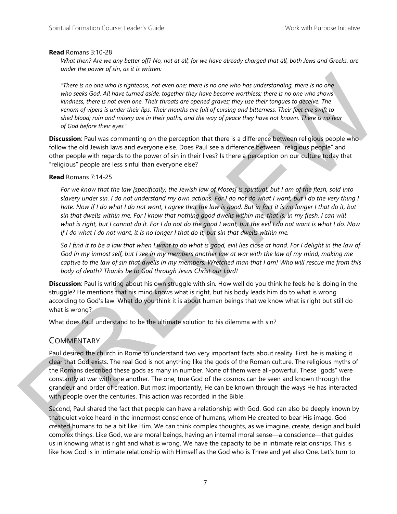#### **Read** Romans 3:10-28

*What then? Are we any better off? No, not at all; for we have already charged that all, both Jews and Greeks, are under the power of sin, as it is written:* 

*"There is no one who is righteous, not even one; there is no one who has understanding, there is no one who seeks God. All have turned aside, together they have become worthless; there is no one who shows kindness, there is not even one. Their throats are opened graves; they use their tongues to deceive. The venom of vipers is under their lips. Their mouths are full of cursing and bitterness. Their feet are swift to shed blood; ruin and misery are in their paths, and the way of peace they have not known. There is no fear of God before their eyes."* 

**Discussion**: Paul was commenting on the perception that there is a difference between religious people who follow the old Jewish laws and everyone else. Does Paul see a difference between "religious people" and other people with regards to the power of sin in their lives? Is there a perception on our culture today that "religious" people are less sinful than everyone else?

#### **Read** Romans 7:14-25

*For we know that the law [specifically, the Jewish law of Moses] is spiritual; but I am of the flesh, sold into slavery under sin. I do not understand my own actions. For I do not do what I want, but I do the very thing I hate. Now if I do what I do not want, I agree that the law is good. But in fact it is no longer I that do it, but sin that dwells within me. For I know that nothing good dwells within me, that is, in my flesh. I can will what is right, but I cannot do it. For I do not do the good I want, but the evil I do not want is what I do. Now if I do what I do not want, it is no longer I that do it, but sin that dwells within me.* 

*So I find it to be a law that when I want to do what is good, evil lies close at hand. For I delight in the law of God in my inmost self, but I see in my members another law at war with the law of my mind, making me captive to the law of sin that dwells in my members. Wretched man that I am! Who will rescue me from this body of death? Thanks be to God through Jesus Christ our Lord!* 

**Discussion**: Paul is writing about his own struggle with sin. How well do you think he feels he is doing in the struggle? He mentions that his mind knows what is right, but his body leads him do to what is wrong according to God's law. What do you think it is about human beings that we know what is right but still do what is wrong?

What does Paul understand to be the ultimate solution to his dilemma with sin?

### **COMMENTARY**

Paul desired the church in Rome to understand two very important facts about reality. First, he is making it clear that God exists. The real God is not anything like the gods of the Roman culture. The religious myths of the Romans described these gods as many in number. None of them were all-powerful. These "gods" were constantly at war with one another. The one, true God of the cosmos can be seen and known through the grandeur and order of creation. But most importantly, He can be known through the ways He has interacted with people over the centuries. This action was recorded in the Bible. There is no one who is rightcom, not every one there is no one who has understanding, there is no one who has the base of the line of the transform (when the transform) of the transform (when the transform) of the control

Second, Paul shared the fact that people can have a relationship with God. God can also be deeply known by that quiet voice heard in the innermost conscience of humans, whom He created to bear His image. God created humans to be a bit like Him. We can think complex thoughts, as we imagine, create, design and build complex things. Like God, we are moral beings, having an internal moral sense—a conscience—that guides us in knowing what is right and what is wrong. We have the capacity to be in intimate relationships. This is like how God is in intimate relationship with Himself as the God who is Three and yet also One. Let's turn to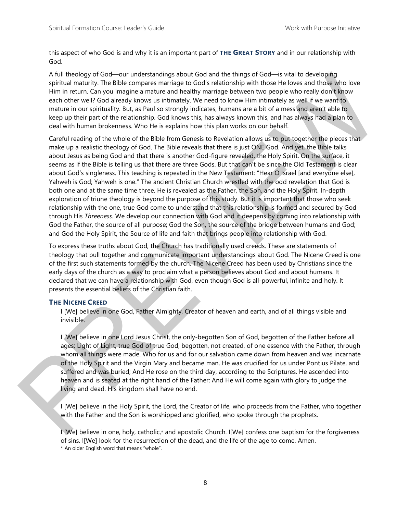this aspect of who God is and why it is an important part of **THE GREAT STORY** and in our relationship with God.

A full theology of God—our understandings about God and the things of God—is vital to developing spiritual maturity. The Bible compares marriage to God's relationship with those He loves and those who love Him in return. Can you imagine a mature and healthy marriage between two people who really don't know each other well? God already knows us intimately. We need to know Him intimately as well if we want to mature in our spirituality. But, as Paul so strongly indicates, humans are a bit of a mess and aren't able to keep up their part of the relationship. God knows this, has always known this, and has always had a plan to deal with human brokenness. Who He is explains how this plan works on our behalf.

Careful reading of the whole of the Bible from Genesis to Revelation allows us to put together the pieces that make up a realistic theology of God. The Bible reveals that there is just ONE God. And yet, the Bible talks about Jesus as being God and that there is another God-figure revealed, the Holy Spirit. On the surface, it seems as if the Bible is telling us that there are three Gods. But that can't be since the Old Testament is clear about God's singleness. This teaching is repeated in the New Testament: "Hear O Israel [and everyone else], Yahweh is God; Yahweh is one." The ancient Christian Church wrestled with the odd revelation that God is both one and at the same time three. He is revealed as the Father, the Son, and the Holy Spirit. In-depth exploration of triune theology is beyond the purpose of this study. But it is important that those who seek relationship with the one, true God come to understand that this relationship is formed and secured by God through His *Threeness*. We develop our connection with God and it deepens by coming into relationship with God the Father, the source of all purpose; God the Son, the source of the bridge between humans and God; and God the Holy Spirit, the Source of life and faith that brings people into relationship with God. A full thosology of God—currenterstands about God and the things of God—ics visit lookeeping<br>spiritual meutrix, The Bible compare marrage to God a relationship with those Holos and those Wool Version<br>time in euron. Current

To express these truths about God, the Church has traditionally used creeds. These are statements of theology that pull together and communicate important understandings about God. The Nicene Creed is one of the first such statements formed by the church. The Nicene Creed has been used by Christians since the early days of the church as a way to proclaim what a person believes about God and about humans. It declared that we can have a relationship with God, even though God is all-powerful, infinite and holy. It presents the essential beliefs of the Christian faith.

#### **THE NICENE CREED**

I [We] believe in one God, Father Almighty, Creator of heaven and earth, and of all things visible and invisible.

I [We] believe in one Lord Jesus Christ, the only-begotten Son of God, begotten of the Father before all ages; Light of Light, true God of true God, begotten, not created, of one essence with the Father, through whom all things were made. Who for us and for our salvation came down from heaven and was incarnate of the Holy Spirit and the Virgin Mary and became man. He was crucified for us under Pontius Pilate, and suffered and was buried; And He rose on the third day, according to the Scriptures. He ascended into heaven and is seated at the right hand of the Father; And He will come again with glory to judge the living and dead. His kingdom shall have no end.

I [We] believe in the Holy Spirit, the Lord, the Creator of life, who proceeds from the Father, who together with the Father and the Son is worshipped and glorified, who spoke through the prophets.

I [We] believe in one, holy, catholic,\* and apostolic Church. I[We] confess one baptism for the forgiveness of sins. I[We] look for the resurrection of the dead, and the life of the age to come. Amen. \* An older English word that means "whole".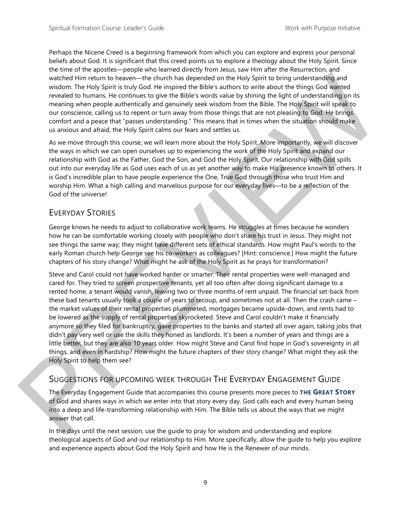Perhaps the Nicene Creed is a beginning framework from which you can explore and express your personal beliefs about God. It is significant that this creed points us to explore a theology about the Holy Spirit. Since the time of the apostles—people who learned directly from Jesus, saw Him after the Resurrection, and watched Him return to heaven—the church has depended on the Holy Spirit to bring understanding and wisdom. The Holy Spirit is truly God. He inspired the Bible's authors to write about the things God wanted revealed to humans. He continues to give the Bible's words value by shining the light of understanding on its meaning when people authentically and genuinely seek wisdom from the Bible. The Holy Spirit will speak to our conscience, calling us to repent or turn away from those things that are not pleasing to God. He brings comfort and a peace that "passes understanding." This means that in times when the situation should make us anxious and afraid, the Holy Spirit calms our fears and settles us.

As we move through this course, we will learn more about the Holy Spirit. More importantly, we will discover the ways in which we can open ourselves up to experiencing the work of the Holy Spirit and expand our relationship with God as the Father, God the Son, and God the Holy Spirit. Our relationship with God spills out into our everyday life as God uses each of us as yet another way to make His presence known to others. It is God's incredible plan to have people experience the One, True God through those who trust Him and worship Him. What a high calling and marvelous purpose for our everyday lives—to be a reflection of the God of the universe!

### EVERYDAY STORIES

George knows he needs to adjust to collaborative work teams. He struggles at times because he wonders how he can be comfortable working closely with people who don't share his trust in Jesus. They might not see things the same way; they might have different sets of ethical standards. How might Paul's words to the early Roman church help George see his co-workers as colleagues? [Hint: conscience.] How might the future chapters of his story change? What might he ask of the Holy Spirit as he prays for transformation?

Steve and Carol could not have worked harder or smarter. Their rental properties were well-managed and cared for. They tried to screen prospective tenants, yet all too often after doing significant damage to a rented home, a tenant would vanish, leaving two or three months of rent unpaid. The financial set-back from these bad tenants usually took a couple of years to recoup, and sometimes not at all. Then the crash came – the market values of their rental properties plummeted, mortgages became upside-down, and rents had to be lowered as the supply of rental properties skyrocketed. Steve and Carol couldn't make it financially anymore so they filed for bankruptcy, gave properties to the banks and started all over again, taking jobs that didn't pay very well or use the skills they honed as landlords. It's been a number of years and things are a little better, but they are also 10 years older. How might Steve and Carol find hope in God's sovereignty in all things, and even in hardship? How might the future chapters of their story change? What might they ask the Holy Spirit to help them see? whether them to however-the characterize particle to the bits bein to the bits and the state of the relationship and<br>wisdom. The Holy Spirit is unity Gral Ho magned dre flibles suddues to white the flies go of wanted<br>reve

### SUGGESTIONS FOR UPCOMING WEEK THROUGH THE EVERYDAY ENGAGEMENT GUIDE

The Everyday Engagement Guide that accompanies this course presents more pieces to **THE GREAT STORY** of God and shares ways in which we enter into that story every day. God calls each and every human being into a deep and life-transforming relationship with Him. The Bible tells us about the ways that we might answer that call.

In the days until the next session, use the guide to pray for wisdom and understanding and explore theological aspects of God and our relationship to Him. More specifically, allow the guide to help you explore and experience aspects about God the Holy Spirit and how He is the Renewer of our minds.